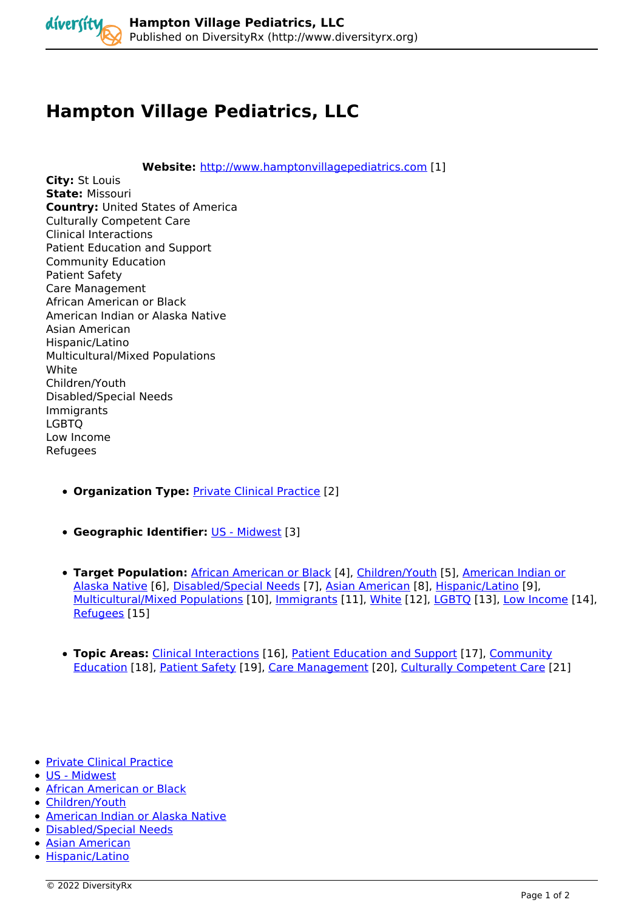

## **Hampton Village Pediatrics, LLC**

**Website:** *<http://www.hamptonvillagepediatrics.com> [1]* 

**City:** *St Louis*  **State:** *Missouri*  **Country:** *United States of America Culturally Competent Care Clinical Interactions Patient Education and Support Community Education Patient Safety Care Management African American or Black American Indian or Alaska Native Asian American Hispanic/Latino Multicultural/Mixed Populations White Children/Youth Disabled/Special Needs Immigrants LGBTQ Low Income Refugees* 

- **Organization Type:** *[Private Clinical Practice](http://www.diversityrx.org/organization-type/private-clinical-practice) [2]*
- **Geographic Identifier:** *[US Midwest](http://www.diversityrx.org/geographic-identifier/us-midwest) [3]*
- **Target Population:** *[African American or Black](http://www.diversityrx.org/target-population/raceethnicity/african-american-or-black) [4], [Children/Youth](http://www.diversityrx.org/target-population/other-population-groups/childrenyouth) [5], [American Indian or](http://www.diversityrx.org/target-population/raceethnicity/american-indian-or-alaska-native) [Alaska Native](http://www.diversityrx.org/target-population/raceethnicity/american-indian-or-alaska-native) [6], [Disabled/Special Needs](http://www.diversityrx.org/target-population/other-population-groups/disabledspecial-needs) [7], [Asian American](http://www.diversityrx.org/target-population/raceethnicity/asian-american) [8], [Hispanic/Latino](http://www.diversityrx.org/target-population/raceethnicity/hispaniclatino) [9], [Multicultural/Mixed Populations](http://www.diversityrx.org/target-population/raceethnicity/multiculturalmixed-populations) [10], [Immigrants](http://www.diversityrx.org/target-population/other-population-groups/immigrants) [11], [White](http://www.diversityrx.org/target-population/raceethnicity/white) [12], [LGBTQ](http://www.diversityrx.org/target-population/other-population-groups/lgbtq) [13], [Low Income](http://www.diversityrx.org/target-population/other-population-groups/low-income) [14], [Refugees](http://www.diversityrx.org/target-population/other-population-groups/refugees) [15]*
- **Topic Areas:** *[Clinical Interactions](http://www.diversityrx.org/topic-areas/culturally-competent-care/clinical-interactions) [16], [Patient Education and Support](http://www.diversityrx.org/topic-areas/culturally-competent-care/patient-education-and-support) [17], [Community](http://www.diversityrx.org/topic-areas/culturally-competent-care/community-education) [Education](http://www.diversityrx.org/topic-areas/culturally-competent-care/community-education) [18], [Patient Safety](http://www.diversityrx.org/topic-areas/culturally-competent-care/patient-safety) [19], [Care Management](http://www.diversityrx.org/topic-areas/culturally-competent-care/care-management) [20], [Culturally Competent Care](http://www.diversityrx.org/topic-areas/culturally-competent-care) [21]*
- *[Private Clinical Practice](http://www.diversityrx.org/organization-type/private-clinical-practice)*
- *[US Midwest](http://www.diversityrx.org/geographic-identifier/us-midwest)*
- *[African American or Black](http://www.diversityrx.org/target-population/raceethnicity/african-american-or-black)*
- *[Children/Youth](http://www.diversityrx.org/target-population/other-population-groups/childrenyouth)*
- *[American Indian or Alaska Native](http://www.diversityrx.org/target-population/raceethnicity/american-indian-or-alaska-native)*
- *[Disabled/Special Needs](http://www.diversityrx.org/target-population/other-population-groups/disabledspecial-needs)*
- *[Asian American](http://www.diversityrx.org/target-population/raceethnicity/asian-american)*
- *[Hispanic/Latino](http://www.diversityrx.org/target-population/raceethnicity/hispaniclatino)*